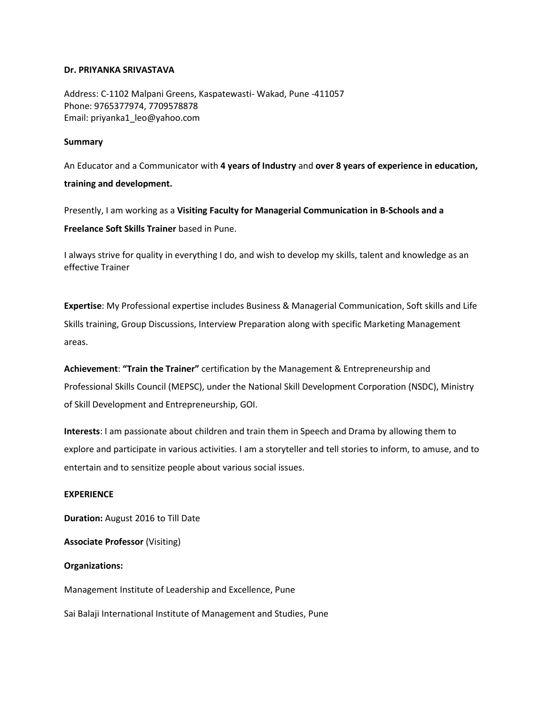## **Dr. PRIYANKA SRIVASTAVA**

Address: C-1102 Malpani Greens, Kaspatewasti- Wakad, Pune -411057 Phone: 9765377974, 7709578878 Email: priyanka1\_leo@yahoo.com

### **Summary**

An Educator and a Communicator with **4 years of Industry** and **over 8 years of experience in education, training and development.**

Presently, I am working as a **Visiting Faculty for Managerial Communication in B-Schools and a Freelance Soft Skills Trainer** based in Pune.

I always strive for quality in everything I do, and wish to develop my skills, talent and knowledge as an effective Trainer

**Expertise**: My Professional expertise includes Business & Managerial Communication, Soft skills and Life Skills training, Group Discussions, Interview Preparation along with specific Marketing Management areas.

**Achievement**: **"Train the Trainer"** certification by the Management & Entrepreneurship and Professional Skills Council (MEPSC), under the National Skill Development Corporation (NSDC), Ministry of Skill Development and Entrepreneurship, GOI.

**Interests**: I am passionate about children and train them in Speech and Drama by allowing them to explore and participate in various activities. I am a storyteller and tell stories to inform, to amuse, and to entertain and to sensitize people about various social issues.

## **EXPERIENCE**

**Duration:** August 2016 to Till Date

**Associate Professor** (Visiting)

### **Organizations:**

Management Institute of Leadership and Excellence, Pune

Sai Balaji International Institute of Management and Studies, Pune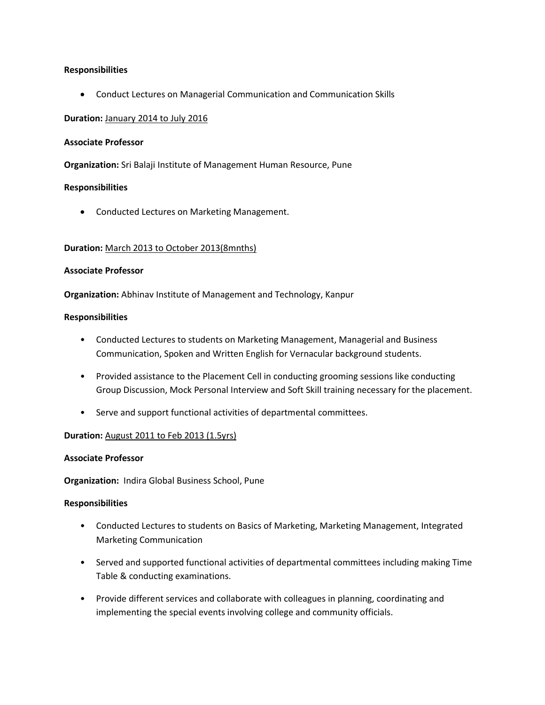## **Responsibilities**

Conduct Lectures on Managerial Communication and Communication Skills

## **Duration:** January 2014 to July 2016

# **Associate Professor**

**Organization:** Sri Balaji Institute of Management Human Resource, Pune

## **Responsibilities**

Conducted Lectures on Marketing Management.

## **Duration:** March 2013 to October 2013(8mnths)

### **Associate Professor**

**Organization:** Abhinav Institute of Management and Technology, Kanpur

### **Responsibilities**

- Conducted Lectures to students on Marketing Management, Managerial and Business Communication, Spoken and Written English for Vernacular background students.
- Provided assistance to the Placement Cell in conducting grooming sessions like conducting Group Discussion, Mock Personal Interview and Soft Skill training necessary for the placement.
- Serve and support functional activities of departmental committees.

### **Duration:** August 2011 to Feb 2013 (1.5yrs)

### **Associate Professor**

**Organization:** Indira Global Business School, Pune

### **Responsibilities**

- Conducted Lectures to students on Basics of Marketing, Marketing Management, Integrated Marketing Communication
- Served and supported functional activities of departmental committees including making Time Table & conducting examinations.
- Provide different services and collaborate with colleagues in planning, coordinating and implementing the special events involving college and community officials.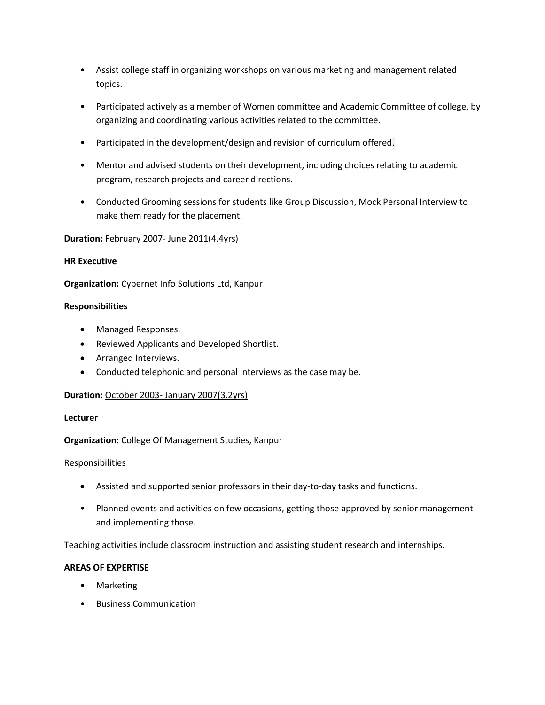- Assist college staff in organizing workshops on various marketing and management related topics.
- Participated actively as a member of Women committee and Academic Committee of college, by organizing and coordinating various activities related to the committee.
- Participated in the development/design and revision of curriculum offered.
- Mentor and advised students on their development, including choices relating to academic program, research projects and career directions.
- Conducted Grooming sessions for students like Group Discussion, Mock Personal Interview to make them ready for the placement.

# **Duration:** February 2007- June 2011(4.4yrs)

# **HR Executive**

**Organization:** Cybernet Info Solutions Ltd, Kanpur

# **Responsibilities**

- Managed Responses.
- Reviewed Applicants and Developed Shortlist.
- Arranged Interviews.
- Conducted telephonic and personal interviews as the case may be.

# **Duration:** October 2003- January 2007(3.2yrs)

# **Lecturer**

# **Organization:** College Of Management Studies, Kanpur

# Responsibilities

- Assisted and supported senior professors in their day-to-day tasks and functions.
- Planned events and activities on few occasions, getting those approved by senior management and implementing those.

Teaching activities include classroom instruction and assisting student research and internships.

# **AREAS OF EXPERTISE**

- Marketing
- Business Communication